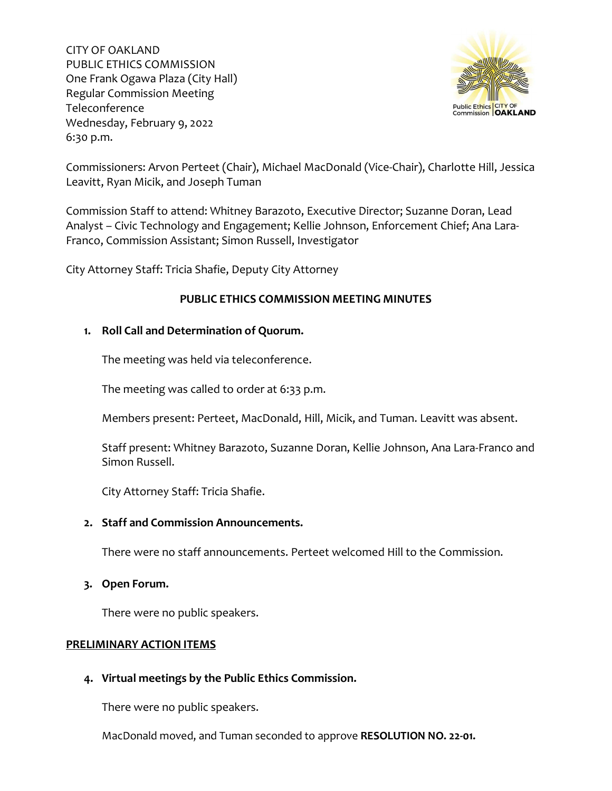

Commissioners: Arvon Perteet (Chair), Michael MacDonald (Vice-Chair), Charlotte Hill, Jessica Leavitt, Ryan Micik, and Joseph Tuman

Commission Staff to attend: Whitney Barazoto, Executive Director; Suzanne Doran, Lead Analyst – Civic Technology and Engagement; Kellie Johnson, Enforcement Chief; Ana Lara-Franco, Commission Assistant; Simon Russell, Investigator

City Attorney Staff: Tricia Shafie, Deputy City Attorney

# **PUBLIC ETHICS COMMISSION MEETING MINUTES**

## **1. Roll Call and Determination of Quorum.**

The meeting was held via teleconference.

The meeting was called to order at 6:33 p.m.

Members present: Perteet, MacDonald, Hill, Micik, and Tuman. Leavitt was absent.

Staff present: Whitney Barazoto, Suzanne Doran, Kellie Johnson, Ana Lara-Franco and Simon Russell.

City Attorney Staff: Tricia Shafie.

### **2. Staff and Commission Announcements.**

There were no staff announcements. Perteet welcomed Hill to the Commission.

### **3. Open Forum.**

There were no public speakers.

### **PRELIMINARY ACTION ITEMS**

## **4. Virtual meetings by the Public Ethics Commission.**

There were no public speakers.

MacDonald moved, and Tuman seconded to approve **RESOLUTION NO. 22-01.**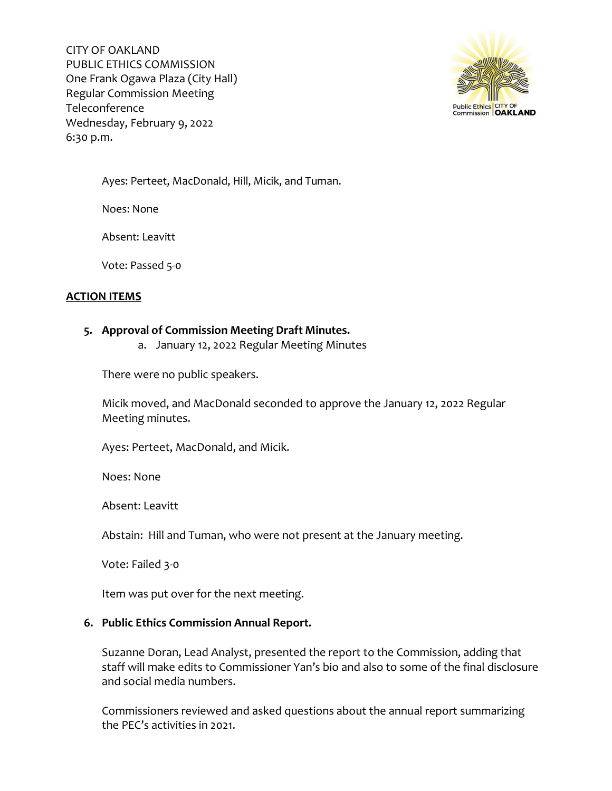

Ayes: Perteet, MacDonald, Hill, Micik, and Tuman.

Noes: None

Absent: Leavitt

Vote: Passed 5-0

# **ACTION ITEMS**

### **5. Approval of Commission Meeting Draft Minutes.**

a. January 12, 2022 Regular Meeting Minutes

There were no public speakers.

Micik moved, and MacDonald seconded to approve the January 12, 2022 Regular Meeting minutes.

Ayes: Perteet, MacDonald, and Micik.

Noes: None

Absent: Leavitt

Abstain: Hill and Tuman, who were not present at the January meeting.

Vote: Failed 3-0

Item was put over for the next meeting.

## **6. Public Ethics Commission Annual Report.**

Suzanne Doran, Lead Analyst, presented the report to the Commission, adding that staff will make edits to Commissioner Yan's bio and also to some of the final disclosure and social media numbers.

Commissioners reviewed and asked questions about the annual report summarizing the PEC's activities in 2021.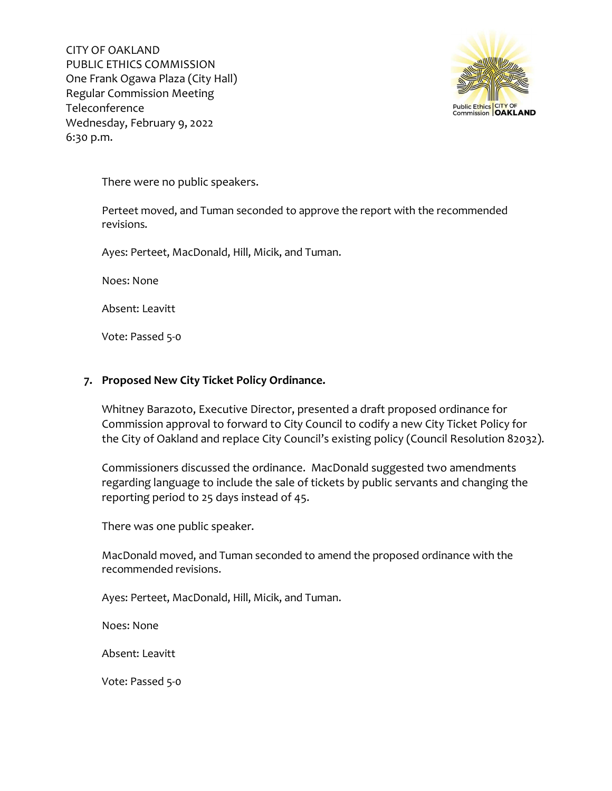

There were no public speakers.

Perteet moved, and Tuman seconded to approve the report with the recommended revisions.

Ayes: Perteet, MacDonald, Hill, Micik, and Tuman.

Noes: None

Absent: Leavitt

Vote: Passed 5-0

### **7. Proposed New City Ticket Policy Ordinance.**

Whitney Barazoto, Executive Director, presented a draft proposed ordinance for Commission approval to forward to City Council to codify a new City Ticket Policy for the City of Oakland and replace City Council's existing policy (Council Resolution 82032).

Commissioners discussed the ordinance. MacDonald suggested two amendments regarding language to include the sale of tickets by public servants and changing the reporting period to 25 days instead of 45.

There was one public speaker.

MacDonald moved, and Tuman seconded to amend the proposed ordinance with the recommended revisions.

Ayes: Perteet, MacDonald, Hill, Micik, and Tuman.

Noes: None

Absent: Leavitt

Vote: Passed 5-0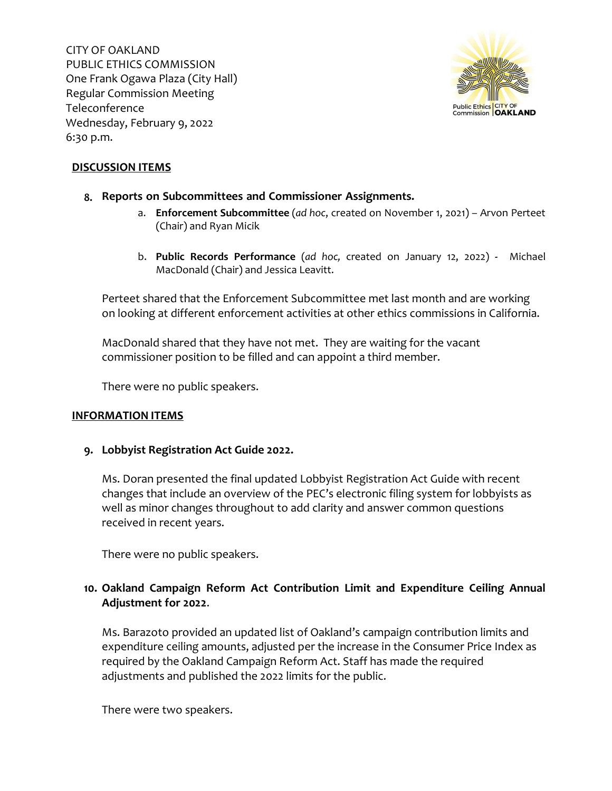

## **DISCUSSION ITEMS**

### **8. Reports on Subcommittees and Commissioner Assignments.**

- a. **Enforcement Subcommittee** (*ad hoc*, created on November 1, 2021) Arvon Perteet (Chair) and Ryan Micik
- b. **Public Records Performance** (*ad hoc,* created on January 12, 2022) Michael MacDonald (Chair) and Jessica Leavitt.

Perteet shared that the Enforcement Subcommittee met last month and are working on looking at different enforcement activities at other ethics commissions in California.

MacDonald shared that they have not met. They are waiting for the vacant commissioner position to be filled and can appoint a third member.

There were no public speakers.

### **INFORMATION ITEMS**

### **9. Lobbyist Registration Act Guide 2022.**

Ms. Doran presented the final updated Lobbyist Registration Act Guide with recent changes that include an overview of the PEC's electronic filing system for lobbyists as well as minor changes throughout to add clarity and answer common questions received in recent years.

There were no public speakers.

# **10. Oakland Campaign Reform Act Contribution Limit and Expenditure Ceiling Annual Adjustment for 2022**.

Ms. Barazoto provided an updated list of Oakland's campaign contribution limits and expenditure ceiling amounts, adjusted per the increase in the Consumer Price Index as required by the Oakland Campaign Reform Act. Staff has made the required adjustments and published the 2022 limits for the public.

There were two speakers.